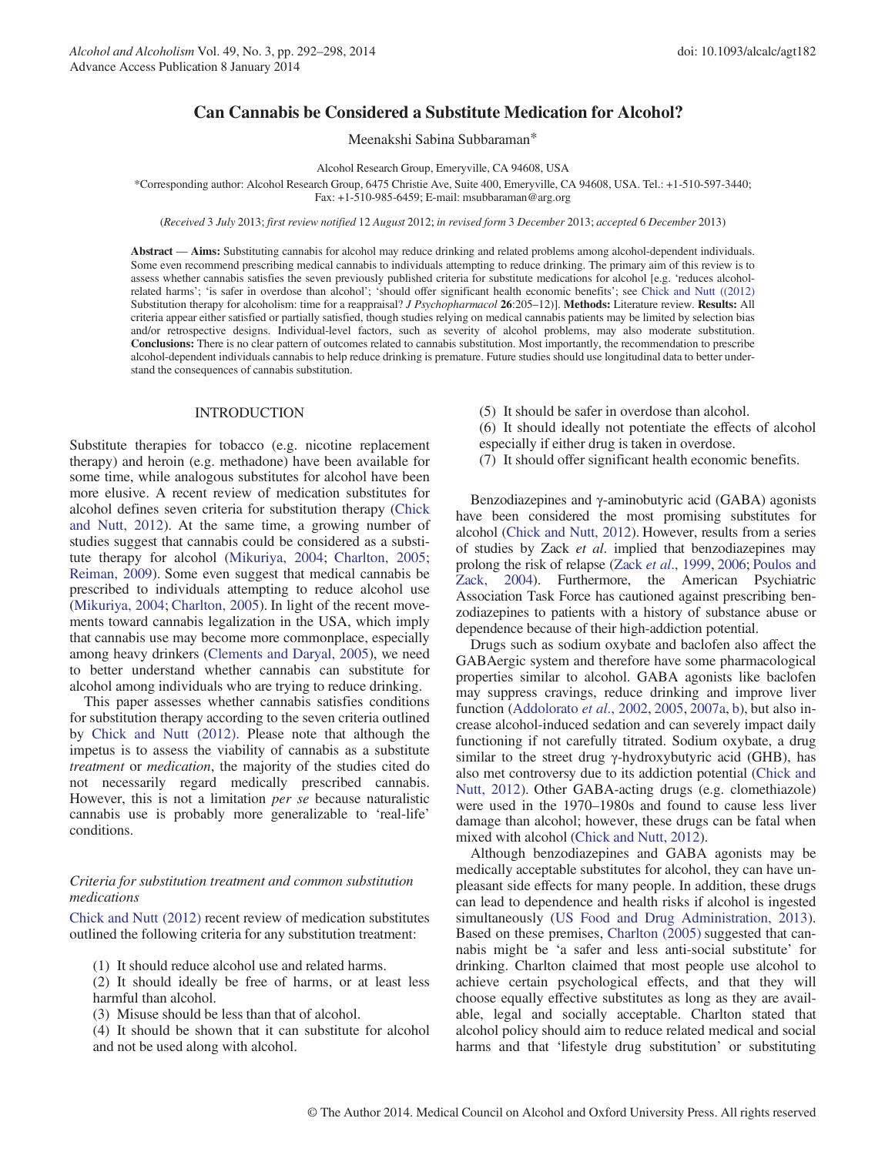# Can Cannabis be Considered a Substitute Medication for Alcohol?

Meenakshi Sabina Subbaraman\*

Alcohol Research Group, Emeryville, CA 94608, USA

\*Corresponding author: Alcohol Research Group, 6475 Christie Ave, Suite 400, Emeryville, CA 94608, USA. Tel.: +1-510-597-3440;

Fax: +1-510-985-6459; E-mail: msubbaraman@arg.org

(Received 3 July 2013; first review notified 12 August 2012; in revised form 3 December 2013; accepted 6 December 2013)

Abstract — Aims: Substituting cannabis for alcohol may reduce drinking and related problems among alcohol-dependent individuals. Some even recommend prescribing medical cannabis to individuals attempting to reduce drinking. The primary aim of this review is to assess whether cannabis satisfies the seven previously published criteria for substitute medications for alcohol [e.g. 'reduces alcoholrelated harms'; 'is safer in overdose than alcohol'; 'should offer significant health economic benefits'; see [Chick and Nutt \(\(2012\)](#page-5-0) Substitution therapy for alcoholism: time for a reappraisal? *J Psychopharmacol* 26:205–12)]. Methods: Literature review. Results: All criteria appear either satisfied or partially satisfied, though studies relying on medical cannabis patients may be limited by selection bias and/or retrospective designs. Individual-level factors, such as severity of alcohol problems, may also moderate substitution. Conclusions: There is no clear pattern of outcomes related to cannabis substitution. Most importantly, the recommendation to prescribe alcohol-dependent individuals cannabis to help reduce drinking is premature. Future studies should use longitudinal data to better understand the consequences of cannabis substitution.

## INTRODUCTION

Substitute therapies for tobacco (e.g. nicotine replacement therapy) and heroin (e.g. methadone) have been available for some time, while analogous substitutes for alcohol have been more elusive. A recent review of medication substitutes for alcohol defines seven criteria for substitution therapy [\(Chick](#page-5-0) [and Nutt, 2012\)](#page-5-0). At the same time, a growing number of studies suggest that cannabis could be considered as a substitute therapy for alcohol ([Mikuriya, 2004;](#page-6-0) [Charlton, 2005;](#page-5-0) [Reiman, 2009](#page-6-0)). Some even suggest that medical cannabis be prescribed to individuals attempting to reduce alcohol use ([Mikuriya, 2004;](#page-6-0) [Charlton, 2005](#page-5-0)). In light of the recent movements toward cannabis legalization in the USA, which imply that cannabis use may become more commonplace, especially among heavy drinkers ([Clements and Daryal, 2005](#page-5-0)), we need to better understand whether cannabis can substitute for alcohol among individuals who are trying to reduce drinking.

This paper assesses whether cannabis satisfies conditions for substitution therapy according to the seven criteria outlined by [Chick and Nutt \(2012\).](#page-5-0) Please note that although the impetus is to assess the viability of cannabis as a substitute treatment or medication, the majority of the studies cited do not necessarily regard medically prescribed cannabis. However, this is not a limitation per se because naturalistic cannabis use is probably more generalizable to 'real-life' conditions.

## Criteria for substitution treatment and common substitution medications

[Chick and Nutt \(2012\)](#page-5-0) recent review of medication substitutes outlined the following criteria for any substitution treatment:

(1) It should reduce alcohol use and related harms.

(2) It should ideally be free of harms, or at least less harmful than alcohol.

(3) Misuse should be less than that of alcohol.

(4) It should be shown that it can substitute for alcohol and not be used along with alcohol.

(5) It should be safer in overdose than alcohol.

(6) It should ideally not potentiate the effects of alcohol especially if either drug is taken in overdose.

(7) It should offer significant health economic benefits.

Benzodiazepines and γ-aminobutyric acid (GABA) agonists have been considered the most promising substitutes for alcohol ([Chick and Nutt, 2012](#page-5-0)). However, results from a series of studies by Zack et al. implied that benzodiazepines may prolong the risk of relapse (Zack et al[., 1999,](#page-6-0) [2006;](#page-6-0) [Poulos and](#page-6-0) [Zack, 2004\)](#page-6-0). Furthermore, the American Psychiatric Association Task Force has cautioned against prescribing benzodiazepines to patients with a history of substance abuse or dependence because of their high-addiction potential.

Drugs such as sodium oxybate and baclofen also affect the GABAergic system and therefore have some pharmacological properties similar to alcohol. GABA agonists like baclofen may suppress cravings, reduce drinking and improve liver function ([Addolorato](#page-5-0) et al., 2002, [2005,](#page-5-0) [2007a,](#page-5-0) [b](#page-5-0)), but also increase alcohol-induced sedation and can severely impact daily functioning if not carefully titrated. Sodium oxybate, a drug similar to the street drug  $\gamma$ -hydroxybutyric acid (GHB), has also met controversy due to its addiction potential ([Chick and](#page-5-0) [Nutt, 2012](#page-5-0)). Other GABA-acting drugs (e.g. clomethiazole) were used in the 1970–1980s and found to cause less liver damage than alcohol; however, these drugs can be fatal when mixed with alcohol ([Chick and Nutt, 2012](#page-5-0)).

Although benzodiazepines and GABA agonists may be medically acceptable substitutes for alcohol, they can have unpleasant side effects for many people. In addition, these drugs can lead to dependence and health risks if alcohol is ingested simultaneously [\(US Food and Drug Administration, 2013\)](#page-6-0). Based on these premises, [Charlton \(2005\)](#page-5-0) suggested that cannabis might be 'a safer and less anti-social substitute' for drinking. Charlton claimed that most people use alcohol to achieve certain psychological effects, and that they will choose equally effective substitutes as long as they are available, legal and socially acceptable. Charlton stated that alcohol policy should aim to reduce related medical and social harms and that 'lifestyle drug substitution' or substituting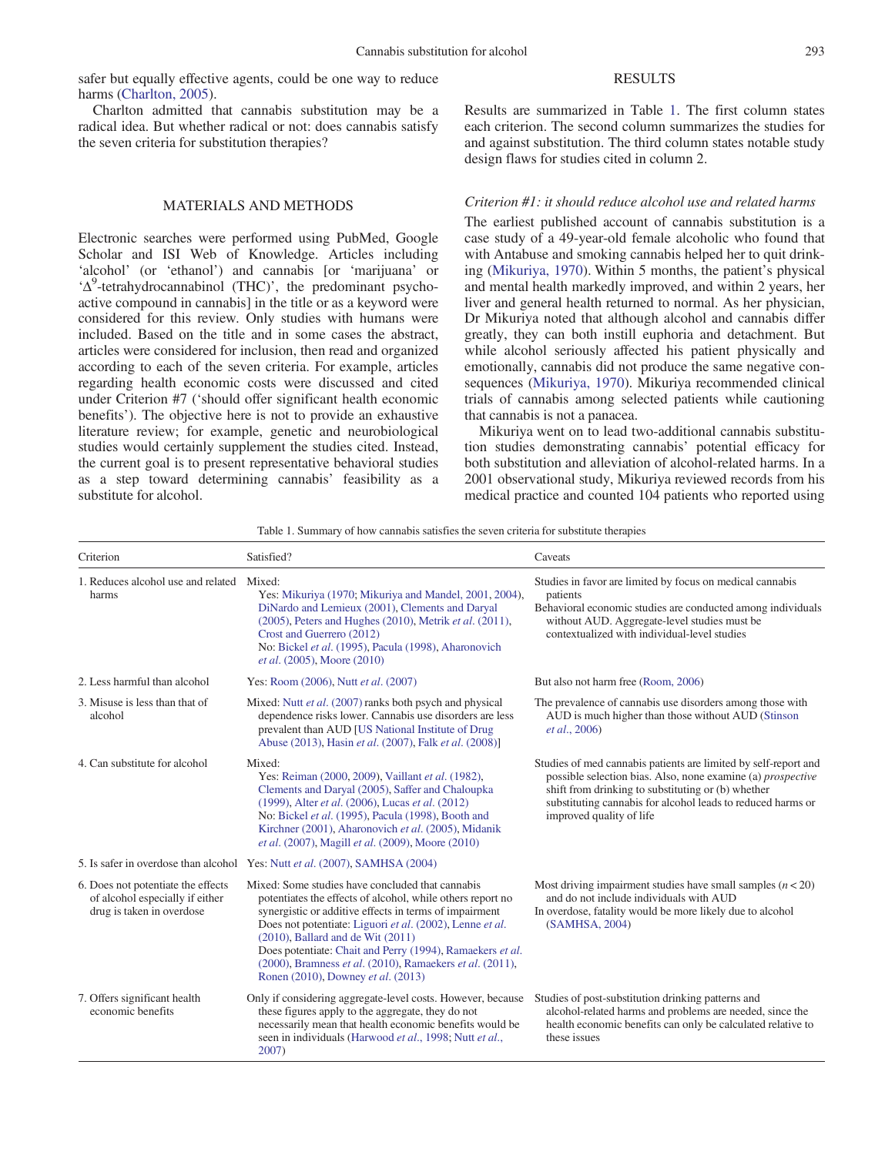<span id="page-1-0"></span>safer but equally effective agents, could be one way to reduce harms [\(Charlton, 2005\)](#page-5-0).

Charlton admitted that cannabis substitution may be a radical idea. But whether radical or not: does cannabis satisfy the seven criteria for substitution therapies?

## MATERIALS AND METHODS

Electronic searches were performed using PubMed, Google Scholar and ISI Web of Knowledge. Articles including 'alcohol' (or 'ethanol') and cannabis [or 'marijuana' or 'Δ<sup>9</sup>-tetrahydrocannabinol (THC)', the predominant psychoactive compound in cannabis] in the title or as a keyword were considered for this review. Only studies with humans were included. Based on the title and in some cases the abstract, articles were considered for inclusion, then read and organized according to each of the seven criteria. For example, articles regarding health economic costs were discussed and cited under Criterion #7 ('should offer significant health economic benefits'). The objective here is not to provide an exhaustive literature review; for example, genetic and neurobiological studies would certainly supplement the studies cited. Instead, the current goal is to present representative behavioral studies as a step toward determining cannabis' feasibility as a substitute for alcohol.

## RESULTS

Results are summarized in Table 1. The first column states each criterion. The second column summarizes the studies for and against substitution. The third column states notable study design flaws for studies cited in column 2.

#### Criterion #1: it should reduce alcohol use and related harms

The earliest published account of cannabis substitution is a case study of a 49-year-old female alcoholic who found that with Antabuse and smoking cannabis helped her to quit drinking ([Mikuriya, 1970](#page-6-0)). Within 5 months, the patient's physical and mental health markedly improved, and within 2 years, her liver and general health returned to normal. As her physician, Dr Mikuriya noted that although alcohol and cannabis differ greatly, they can both instill euphoria and detachment. But while alcohol seriously affected his patient physically and emotionally, cannabis did not produce the same negative consequences ([Mikuriya, 1970](#page-6-0)). Mikuriya recommended clinical trials of cannabis among selected patients while cautioning that cannabis is not a panacea.

Mikuriya went on to lead two-additional cannabis substitution studies demonstrating cannabis' potential efficacy for both substitution and alleviation of alcohol-related harms. In a 2001 observational study, Mikuriya reviewed records from his medical practice and counted 104 patients who reported using

| Table 1. Summary of how cannabis satisfies the seven criteria for substitute therapies |  |  |  |  |
|----------------------------------------------------------------------------------------|--|--|--|--|
|                                                                                        |  |  |  |  |

| Criterion                                                                                          | Satisfied?                                                                                                                                                                                                                                                                                                                                                                                                                                    | Caveats                                                                                                                                                                                                                                                                                |  |  |
|----------------------------------------------------------------------------------------------------|-----------------------------------------------------------------------------------------------------------------------------------------------------------------------------------------------------------------------------------------------------------------------------------------------------------------------------------------------------------------------------------------------------------------------------------------------|----------------------------------------------------------------------------------------------------------------------------------------------------------------------------------------------------------------------------------------------------------------------------------------|--|--|
| 1. Reduces alcohol use and related<br>harms                                                        | Mixed:<br>Yes: Mikuriya (1970; Mikuriya and Mandel, 2001, 2004),<br>DiNardo and Lemieux (2001), Clements and Daryal<br>$(2005)$ , Peters and Hughes $(2010)$ , Metrik <i>et al.</i> $(2011)$ ,<br>Crost and Guerrero (2012)<br>No: Bickel et al. (1995), Pacula (1998), Aharonovich<br><i>et al.</i> (2005), Moore (2010)                                                                                                                     | Studies in favor are limited by focus on medical cannabis<br>patients<br>Behavioral economic studies are conducted among individuals<br>without AUD. Aggregate-level studies must be<br>contextualized with individual-level studies                                                   |  |  |
| 2. Less harmful than alcohol                                                                       | Yes: Room (2006), Nutt et al. (2007)                                                                                                                                                                                                                                                                                                                                                                                                          | But also not harm free (Room, 2006)                                                                                                                                                                                                                                                    |  |  |
| 3. Misuse is less than that of<br>alcohol                                                          | Mixed: Nutt et al. (2007) ranks both psych and physical<br>dependence risks lower. Cannabis use disorders are less<br>prevalent than AUD [US National Institute of Drug<br>Abuse (2013), Hasin et al. (2007), Falk et al. (2008)]                                                                                                                                                                                                             | The prevalence of cannabis use disorders among those with<br>AUD is much higher than those without AUD (Stinson<br><i>et al.</i> , 2006)                                                                                                                                               |  |  |
| 4. Can substitute for alcohol                                                                      | Mixed:<br>Yes: Reiman (2000, 2009), Vaillant et al. (1982),<br>Clements and Daryal (2005), Saffer and Chaloupka<br>(1999), Alter et al. (2006), Lucas et al. (2012)<br>No: Bickel et al. (1995), Pacula (1998), Booth and<br>Kirchner (2001), Aharonovich et al. (2005), Midanik<br>et al. (2007), Magill et al. (2009), Moore (2010)                                                                                                         | Studies of med cannabis patients are limited by self-report and<br>possible selection bias. Also, none examine (a) <i>prospective</i><br>shift from drinking to substituting or (b) whether<br>substituting cannabis for alcohol leads to reduced harms or<br>improved quality of life |  |  |
|                                                                                                    | 5. Is safer in overdose than alcohol Yes: Nutt et al. (2007), SAMHSA (2004)                                                                                                                                                                                                                                                                                                                                                                   |                                                                                                                                                                                                                                                                                        |  |  |
| 6. Does not potentiate the effects<br>of alcohol especially if either<br>drug is taken in overdose | Mixed: Some studies have concluded that cannabis<br>potentiates the effects of alcohol, while others report no<br>synergistic or additive effects in terms of impairment<br>Does not potentiate: Liguori et al. (2002), Lenne et al.<br>$(2010)$ , Ballard and de Wit $(2011)$<br>Does potentiate: Chait and Perry (1994), Ramaekers et al.<br>(2000), Bramness et al. (2010), Ramaekers et al. (2011),<br>Ronen (2010), Downey et al. (2013) | Most driving impairment studies have small samples $(n < 20)$<br>and do not include individuals with AUD<br>In overdose, fatality would be more likely due to alcohol<br>(SAMHSA, 2004)                                                                                                |  |  |
| 7. Offers significant health<br>economic benefits                                                  | Only if considering aggregate-level costs. However, because<br>these figures apply to the aggregate, they do not<br>necessarily mean that health economic benefits would be<br>seen in individuals (Harwood et al., 1998; Nutt et al.,<br>2007)                                                                                                                                                                                               | Studies of post-substitution drinking patterns and<br>alcohol-related harms and problems are needed, since the<br>health economic benefits can only be calculated relative to<br>these issues                                                                                          |  |  |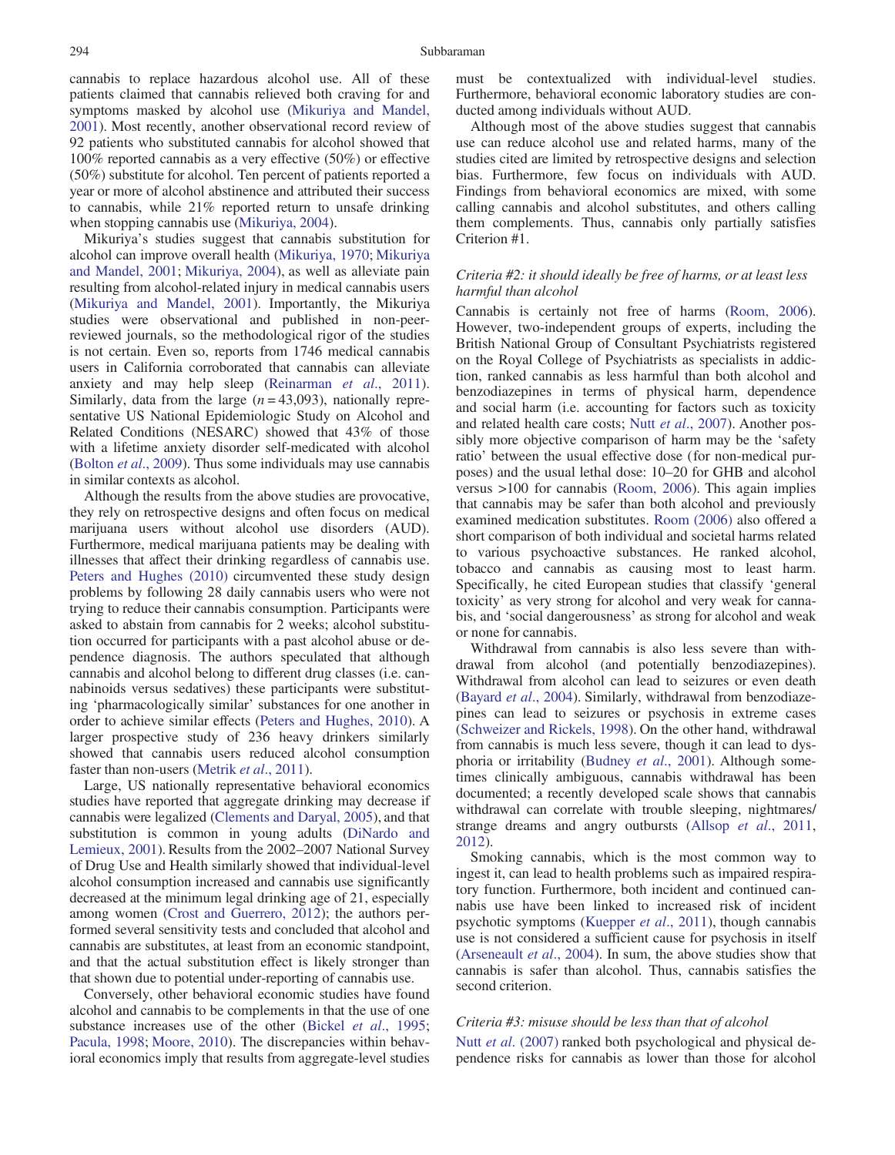cannabis to replace hazardous alcohol use. All of these patients claimed that cannabis relieved both craving for and symptoms masked by alcohol use ([Mikuriya and Mandel,](#page-6-0) [2001\)](#page-6-0). Most recently, another observational record review of 92 patients who substituted cannabis for alcohol showed that 100% reported cannabis as a very effective (50%) or effective (50%) substitute for alcohol. Ten percent of patients reported a year or more of alcohol abstinence and attributed their success to cannabis, while 21% reported return to unsafe drinking when stopping cannabis use ([Mikuriya, 2004](#page-6-0)).

Mikuriya's studies suggest that cannabis substitution for alcohol can improve overall health ([Mikuriya, 1970;](#page-6-0) [Mikuriya](#page-6-0) [and Mandel, 2001](#page-6-0); [Mikuriya, 2004](#page-6-0)), as well as alleviate pain resulting from alcohol-related injury in medical cannabis users ([Mikuriya and Mandel, 2001](#page-6-0)). Importantly, the Mikuriya studies were observational and published in non-peerreviewed journals, so the methodological rigor of the studies is not certain. Even so, reports from 1746 medical cannabis users in California corroborated that cannabis can alleviate anxiety and may help sleep [\(Reinarman](#page-6-0) et al., 2011). Similarly, data from the large  $(n = 43,093)$ , nationally representative US National Epidemiologic Study on Alcohol and Related Conditions (NESARC) showed that 43% of those with a lifetime anxiety disorder self-medicated with alcohol (Bolton et al[., 2009\)](#page-5-0). Thus some individuals may use cannabis in similar contexts as alcohol.

Although the results from the above studies are provocative, they rely on retrospective designs and often focus on medical marijuana users without alcohol use disorders (AUD). Furthermore, medical marijuana patients may be dealing with illnesses that affect their drinking regardless of cannabis use. [Peters and Hughes \(2010\)](#page-6-0) circumvented these study design problems by following 28 daily cannabis users who were not trying to reduce their cannabis consumption. Participants were asked to abstain from cannabis for 2 weeks; alcohol substitution occurred for participants with a past alcohol abuse or dependence diagnosis. The authors speculated that although cannabis and alcohol belong to different drug classes (i.e. cannabinoids versus sedatives) these participants were substituting 'pharmacologically similar' substances for one another in order to achieve similar effects ([Peters and Hughes, 2010\)](#page-6-0). A larger prospective study of 236 heavy drinkers similarly showed that cannabis users reduced alcohol consumption faster than non-users [\(Metrik](#page-6-0) *et al.*, 2011).

Large, US nationally representative behavioral economics studies have reported that aggregate drinking may decrease if cannabis were legalized [\(Clements and Daryal, 2005](#page-5-0)), and that substitution is common in young adults ([DiNardo and](#page-5-0) [Lemieux, 2001\)](#page-5-0). Results from the 2002–2007 National Survey of Drug Use and Health similarly showed that individual-level alcohol consumption increased and cannabis use significantly decreased at the minimum legal drinking age of 21, especially among women ([Crost and Guerrero, 2012\)](#page-5-0); the authors performed several sensitivity tests and concluded that alcohol and cannabis are substitutes, at least from an economic standpoint, and that the actual substitution effect is likely stronger than that shown due to potential under-reporting of cannabis use.

Conversely, other behavioral economic studies have found alcohol and cannabis to be complements in that the use of one substance increases use of the other (Bickel et al[., 1995;](#page-5-0) [Pacula, 1998](#page-6-0); [Moore, 2010\)](#page-6-0). The discrepancies within behavioral economics imply that results from aggregate-level studies

must be contextualized with individual-level studies. Furthermore, behavioral economic laboratory studies are conducted among individuals without AUD.

Although most of the above studies suggest that cannabis use can reduce alcohol use and related harms, many of the studies cited are limited by retrospective designs and selection bias. Furthermore, few focus on individuals with AUD. Findings from behavioral economics are mixed, with some calling cannabis and alcohol substitutes, and others calling them complements. Thus, cannabis only partially satisfies Criterion #1.

# Criteria #2: it should ideally be free of harms, or at least less harmful than alcohol

Cannabis is certainly not free of harms ([Room, 2006\)](#page-6-0). However, two-independent groups of experts, including the British National Group of Consultant Psychiatrists registered on the Royal College of Psychiatrists as specialists in addiction, ranked cannabis as less harmful than both alcohol and benzodiazepines in terms of physical harm, dependence and social harm (i.e. accounting for factors such as toxicity and related health care costs; Nutt et al[., 2007\)](#page-6-0). Another possibly more objective comparison of harm may be the 'safety ratio' between the usual effective dose (for non-medical purposes) and the usual lethal dose: 10–20 for GHB and alcohol versus >100 for cannabis ([Room, 2006\)](#page-6-0). This again implies that cannabis may be safer than both alcohol and previously examined medication substitutes. [Room \(2006\)](#page-6-0) also offered a short comparison of both individual and societal harms related to various psychoactive substances. He ranked alcohol, tobacco and cannabis as causing most to least harm. Specifically, he cited European studies that classify 'general toxicity' as very strong for alcohol and very weak for cannabis, and 'social dangerousness' as strong for alcohol and weak or none for cannabis.

Withdrawal from cannabis is also less severe than withdrawal from alcohol (and potentially benzodiazepines). Withdrawal from alcohol can lead to seizures or even death [\(Bayard](#page-5-0) et al., 2004). Similarly, withdrawal from benzodiazepines can lead to seizures or psychosis in extreme cases [\(Schweizer and Rickels, 1998](#page-6-0)). On the other hand, withdrawal from cannabis is much less severe, though it can lead to dysphoria or irritability ([Budney](#page-5-0) et al., 2001). Although sometimes clinically ambiguous, cannabis withdrawal has been documented; a recently developed scale shows that cannabis withdrawal can correlate with trouble sleeping, nightmares/ strange dreams and angry outbursts (Allsop et al[., 2011](#page-5-0), [2012](#page-5-0)).

Smoking cannabis, which is the most common way to ingest it, can lead to health problems such as impaired respiratory function. Furthermore, both incident and continued cannabis use have been linked to increased risk of incident psychotic symptoms ([Kuepper](#page-5-0) et al., 2011), though cannabis use is not considered a sufficient cause for psychosis in itself [\(Arseneault](#page-5-0) et al., 2004). In sum, the above studies show that cannabis is safer than alcohol. Thus, cannabis satisfies the second criterion.

#### Criteria #3: misuse should be less than that of alcohol

Nutt et al[. \(2007\)](#page-6-0) ranked both psychological and physical dependence risks for cannabis as lower than those for alcohol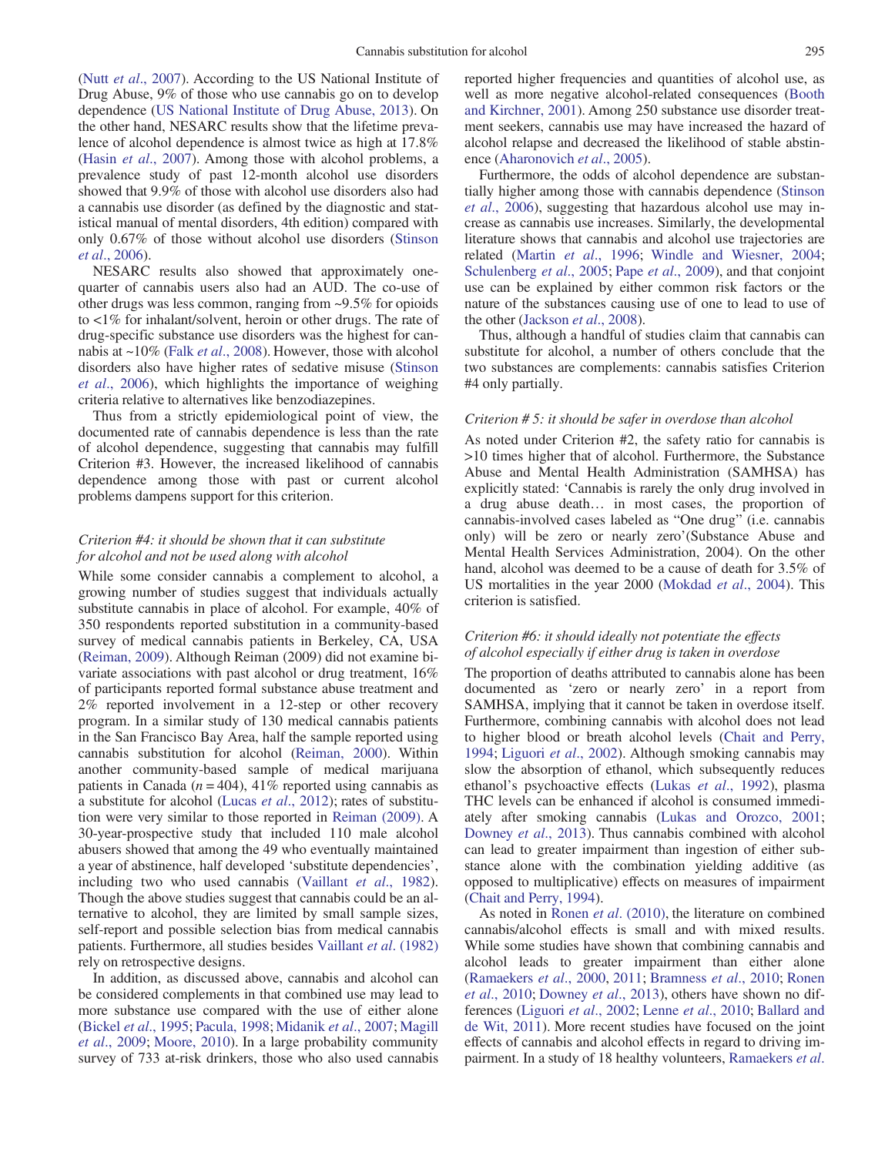(Nutt et al[., 2007\)](#page-6-0). According to the US National Institute of Drug Abuse, 9% of those who use cannabis go on to develop dependence ([US National Institute of Drug Abuse, 2013\)](#page-6-0). On the other hand, NESARC results show that the lifetime prevalence of alcohol dependence is almost twice as high at 17.8% (Hasin et al[., 2007](#page-5-0)). Among those with alcohol problems, a prevalence study of past 12-month alcohol use disorders showed that 9.9% of those with alcohol use disorders also had a cannabis use disorder (as defined by the diagnostic and statistical manual of mental disorders, 4th edition) compared with only 0.67% of those without alcohol use disorders [\(Stinson](#page-6-0) et al[., 2006](#page-6-0)).

NESARC results also showed that approximately onequarter of cannabis users also had an AUD. The co-use of other drugs was less common, ranging from ~9.5% for opioids to <1% for inhalant/solvent, heroin or other drugs. The rate of drug-specific substance use disorders was the highest for cannabis at ~10% (Falk et al[., 2008\)](#page-5-0). However, those with alcohol disorders also have higher rates of sedative misuse [\(Stinson](#page-6-0) et al[., 2006](#page-6-0)), which highlights the importance of weighing criteria relative to alternatives like benzodiazepines.

Thus from a strictly epidemiological point of view, the documented rate of cannabis dependence is less than the rate of alcohol dependence, suggesting that cannabis may fulfill Criterion #3. However, the increased likelihood of cannabis dependence among those with past or current alcohol problems dampens support for this criterion.

## Criterion #4: it should be shown that it can substitute for alcohol and not be used along with alcohol

While some consider cannabis a complement to alcohol, a growing number of studies suggest that individuals actually substitute cannabis in place of alcohol. For example, 40% of 350 respondents reported substitution in a community-based survey of medical cannabis patients in Berkeley, CA, USA ([Reiman, 2009\)](#page-6-0). Although Reiman (2009) did not examine bivariate associations with past alcohol or drug treatment, 16% of participants reported formal substance abuse treatment and 2% reported involvement in a 12-step or other recovery program. In a similar study of 130 medical cannabis patients in the San Francisco Bay Area, half the sample reported using cannabis substitution for alcohol [\(Reiman, 2000\)](#page-6-0). Within another community-based sample of medical marijuana patients in Canada ( $n = 404$ ), 41% reported using cannabis as a substitute for alcohol (Lucas et al[., 2012](#page-6-0)); rates of substitution were very similar to those reported in [Reiman \(2009\).](#page-6-0) A 30-year-prospective study that included 110 male alcohol abusers showed that among the 49 who eventually maintained a year of abstinence, half developed 'substitute dependencies', including two who used cannabis ([Vaillant](#page-6-0) et al., 1982). Though the above studies suggest that cannabis could be an alternative to alcohol, they are limited by small sample sizes, self-report and possible selection bias from medical cannabis patients. Furthermore, all studies besides [Vaillant](#page-6-0) et al. (1982) rely on retrospective designs.

In addition, as discussed above, cannabis and alcohol can be considered complements in that combined use may lead to more substance use compared with the use of either alone (Bickel et al[., 1995](#page-5-0); [Pacula, 1998;](#page-6-0) [Midanik](#page-6-0) et al., 2007; [Magill](#page-6-0) et al[., 2009](#page-6-0); [Moore, 2010\)](#page-6-0). In a large probability community survey of 733 at-risk drinkers, those who also used cannabis reported higher frequencies and quantities of alcohol use, as well as more negative alcohol-related consequences [\(Booth](#page-5-0) [and Kirchner, 2001](#page-5-0)). Among 250 substance use disorder treatment seekers, cannabis use may have increased the hazard of alcohol relapse and decreased the likelihood of stable abstinence ([Aharonovich](#page-5-0) et al., 2005).

Furthermore, the odds of alcohol dependence are substantially higher among those with cannabis dependence ([Stinson](#page-6-0) et al[., 2006](#page-6-0)), suggesting that hazardous alcohol use may increase as cannabis use increases. Similarly, the developmental literature shows that cannabis and alcohol use trajectories are related (Martin et al[., 1996;](#page-6-0) [Windle and Wiesner, 2004;](#page-6-0) [Schulenberg](#page-6-0) et al., 2005; Pape et al[., 2009](#page-6-0)), and that conjoint use can be explained by either common risk factors or the nature of the substances causing use of one to lead to use of the other [\(Jackson](#page-5-0) et al., 2008).

Thus, although a handful of studies claim that cannabis can substitute for alcohol, a number of others conclude that the two substances are complements: cannabis satisfies Criterion #4 only partially.

## Criterion # 5: it should be safer in overdose than alcohol

As noted under Criterion #2, the safety ratio for cannabis is >10 times higher that of alcohol. Furthermore, the Substance Abuse and Mental Health Administration (SAMHSA) has explicitly stated: 'Cannabis is rarely the only drug involved in a drug abuse death… in most cases, the proportion of cannabis-involved cases labeled as "One drug" (i.e. cannabis only) will be zero or nearly zero'(Substance Abuse and Mental Health Services Administration, 2004). On the other hand, alcohol was deemed to be a cause of death for 3.5% of US mortalities in the year 2000 ([Mokdad](#page-6-0) *et al.*, 2004). This criterion is satisfied.

## Criterion #6: it should ideally not potentiate the effects of alcohol especially if either drug is taken in overdose

The proportion of deaths attributed to cannabis alone has been documented as 'zero or nearly zero' in a report from SAMHSA, implying that it cannot be taken in overdose itself. Furthermore, combining cannabis with alcohol does not lead to higher blood or breath alcohol levels ([Chait and Perry,](#page-5-0) [1994](#page-5-0); [Liguori](#page-5-0) et al., 2002). Although smoking cannabis may slow the absorption of ethanol, which subsequently reduces ethanol's psychoactive effects (Lukas *et al.*, 1992), plasma THC levels can be enhanced if alcohol is consumed immediately after smoking cannabis [\(Lukas and Orozco, 2001;](#page-6-0) [Downey](#page-5-0) et al., 2013). Thus cannabis combined with alcohol can lead to greater impairment than ingestion of either substance alone with the combination yielding additive (as opposed to multiplicative) effects on measures of impairment [\(Chait and Perry, 1994\)](#page-5-0).

As noted in Ronen et al[. \(2010\)](#page-6-0), the literature on combined cannabis/alcohol effects is small and with mixed results. While some studies have shown that combining cannabis and alcohol leads to greater impairment than either alone [\(Ramaekers](#page-6-0) et al., 2000, [2011;](#page-6-0) [Bramness](#page-5-0) et al., 2010; [Ronen](#page-6-0) et al[., 2010](#page-6-0); [Downey](#page-5-0) et al., 2013), others have shown no differences ([Liguori](#page-5-0) et al., 2002; Lenne et al[., 2010](#page-5-0); [Ballard and](#page-5-0) [de Wit, 2011](#page-5-0)). More recent studies have focused on the joint effects of cannabis and alcohol effects in regard to driving im-pairment. In a study of 18 healthy volunteers, [Ramaekers](#page-6-0) et al.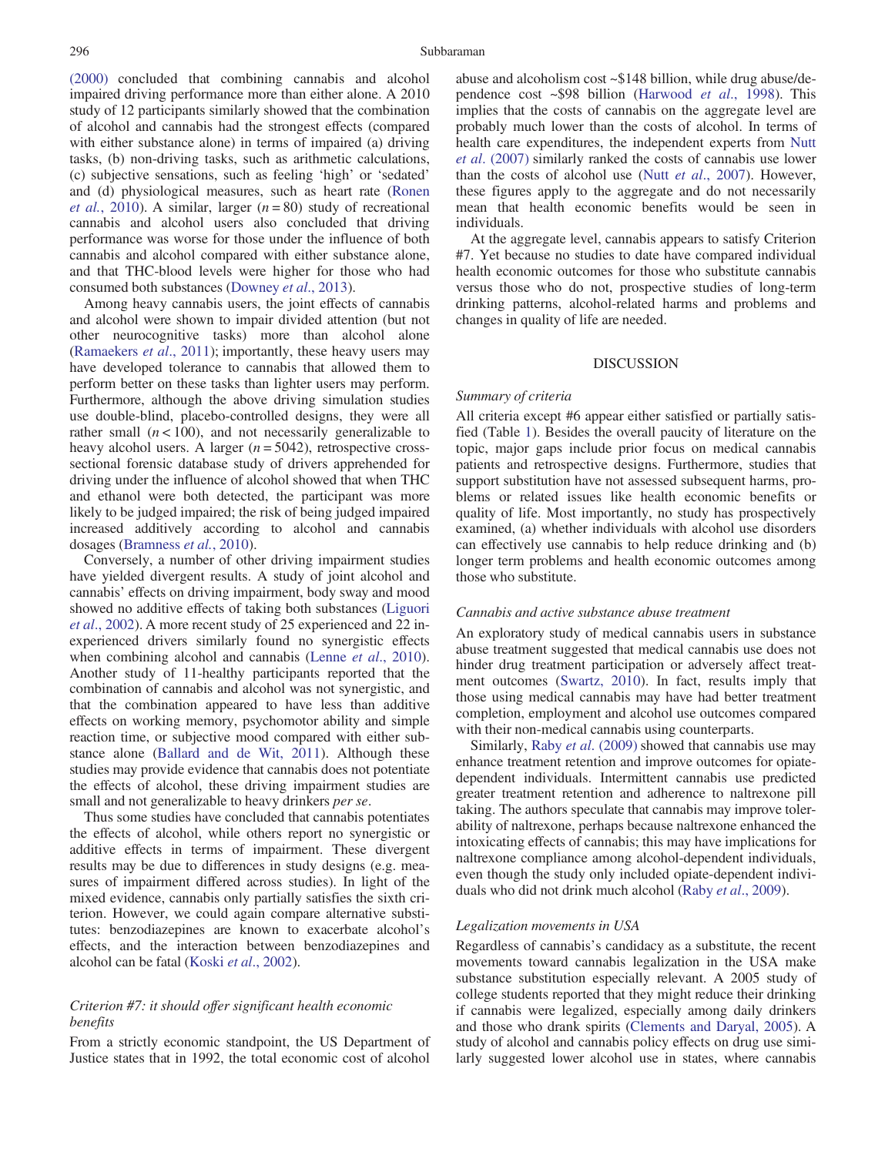[\(2000\)](#page-6-0) concluded that combining cannabis and alcohol impaired driving performance more than either alone. A 2010 study of 12 participants similarly showed that the combination of alcohol and cannabis had the strongest effects (compared with either substance alone) in terms of impaired (a) driving tasks, (b) non-driving tasks, such as arithmetic calculations, (c) subjective sensations, such as feeling 'high' or 'sedated' and (d) physiological measures, such as heart rate [\(Ronen](#page-6-0) *et al.*[, 2010](#page-6-0)). A similar, larger  $(n = 80)$  study of recreational cannabis and alcohol users also concluded that driving performance was worse for those under the influence of both cannabis and alcohol compared with either substance alone, and that THC-blood levels were higher for those who had consumed both substances [\(Downey](#page-5-0) et al., 2013).

Among heavy cannabis users, the joint effects of cannabis and alcohol were shown to impair divided attention (but not other neurocognitive tasks) more than alcohol alone ([Ramaekers](#page-6-0) *et al.*, 2011); importantly, these heavy users may have developed tolerance to cannabis that allowed them to perform better on these tasks than lighter users may perform. Furthermore, although the above driving simulation studies use double-blind, placebo-controlled designs, they were all rather small  $(n < 100)$ , and not necessarily generalizable to heavy alcohol users. A larger  $(n = 5042)$ , retrospective crosssectional forensic database study of drivers apprehended for driving under the influence of alcohol showed that when THC and ethanol were both detected, the participant was more likely to be judged impaired; the risk of being judged impaired increased additively according to alcohol and cannabis dosages ([Bramness](#page-5-0) et al., 2010).

Conversely, a number of other driving impairment studies have yielded divergent results. A study of joint alcohol and cannabis' effects on driving impairment, body sway and mood showed no additive effects of taking both substances ([Liguori](#page-5-0) et al[., 2002](#page-5-0)). A more recent study of 25 experienced and 22 inexperienced drivers similarly found no synergistic effects when combining alcohol and cannabis (Lenne *et al.*, 2010). Another study of 11-healthy participants reported that the combination of cannabis and alcohol was not synergistic, and that the combination appeared to have less than additive effects on working memory, psychomotor ability and simple reaction time, or subjective mood compared with either substance alone ([Ballard and de Wit, 2011\)](#page-5-0). Although these studies may provide evidence that cannabis does not potentiate the effects of alcohol, these driving impairment studies are small and not generalizable to heavy drinkers per se.

Thus some studies have concluded that cannabis potentiates the effects of alcohol, while others report no synergistic or additive effects in terms of impairment. These divergent results may be due to differences in study designs (e.g. measures of impairment differed across studies). In light of the mixed evidence, cannabis only partially satisfies the sixth criterion. However, we could again compare alternative substitutes: benzodiazepines are known to exacerbate alcohol's effects, and the interaction between benzodiazepines and alcohol can be fatal (Koski et al[., 2002](#page-5-0)).

# Criterion #7: it should offer significant health economic benefits

From a strictly economic standpoint, the US Department of Justice states that in 1992, the total economic cost of alcohol abuse and alcoholism cost ~\$148 billion, while drug abuse/dependence cost ~\$98 billion ([Harwood](#page-5-0) et al., 1998). This implies that the costs of cannabis on the aggregate level are probably much lower than the costs of alcohol. In terms of health care expenditures, the independent experts from [Nutt](#page-6-0) et al[. \(2007\)](#page-6-0) similarly ranked the costs of cannabis use lower than the costs of alcohol use (Nutt et al[., 2007](#page-6-0)). However, these figures apply to the aggregate and do not necessarily mean that health economic benefits would be seen in individuals.

At the aggregate level, cannabis appears to satisfy Criterion #7. Yet because no studies to date have compared individual health economic outcomes for those who substitute cannabis versus those who do not, prospective studies of long-term drinking patterns, alcohol-related harms and problems and changes in quality of life are needed.

## DISCUSSION

## Summary of criteria

All criteria except #6 appear either satisfied or partially satisfied (Table [1](#page-1-0)). Besides the overall paucity of literature on the topic, major gaps include prior focus on medical cannabis patients and retrospective designs. Furthermore, studies that support substitution have not assessed subsequent harms, problems or related issues like health economic benefits or quality of life. Most importantly, no study has prospectively examined, (a) whether individuals with alcohol use disorders can effectively use cannabis to help reduce drinking and (b) longer term problems and health economic outcomes among those who substitute.

## Cannabis and active substance abuse treatment

An exploratory study of medical cannabis users in substance abuse treatment suggested that medical cannabis use does not hinder drug treatment participation or adversely affect treatment outcomes ([Swartz, 2010\)](#page-6-0). In fact, results imply that those using medical cannabis may have had better treatment completion, employment and alcohol use outcomes compared with their non-medical cannabis using counterparts.

Similarly, Raby et al[. \(2009\)](#page-6-0) showed that cannabis use may enhance treatment retention and improve outcomes for opiatedependent individuals. Intermittent cannabis use predicted greater treatment retention and adherence to naltrexone pill taking. The authors speculate that cannabis may improve tolerability of naltrexone, perhaps because naltrexone enhanced the intoxicating effects of cannabis; this may have implications for naltrexone compliance among alcohol-dependent individuals, even though the study only included opiate-dependent individuals who did not drink much alcohol (Raby et al[., 2009\)](#page-6-0).

### Legalization movements in USA

Regardless of cannabis's candidacy as a substitute, the recent movements toward cannabis legalization in the USA make substance substitution especially relevant. A 2005 study of college students reported that they might reduce their drinking if cannabis were legalized, especially among daily drinkers and those who drank spirits ([Clements and Daryal, 2005](#page-5-0)). A study of alcohol and cannabis policy effects on drug use similarly suggested lower alcohol use in states, where cannabis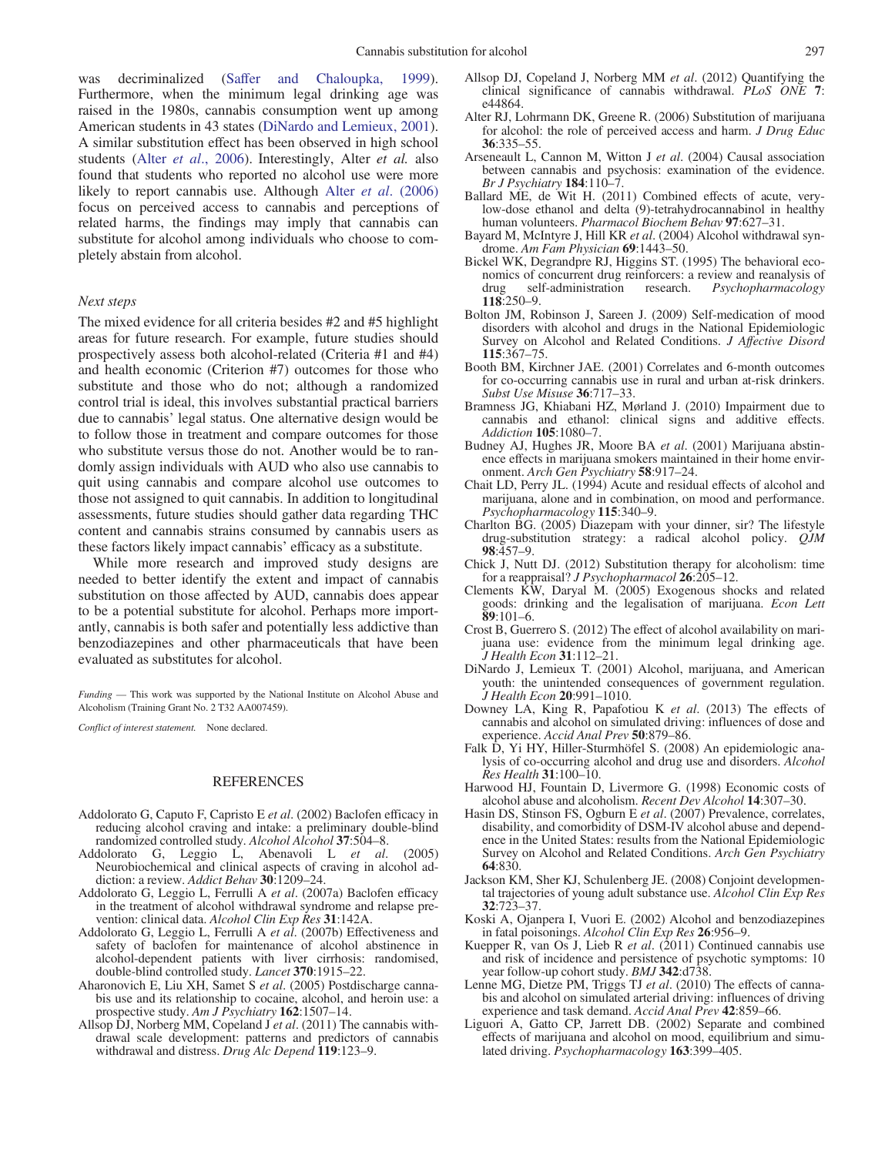<span id="page-5-0"></span>was decriminalized ([Saffer and Chaloupka, 1999](#page-6-0)). Furthermore, when the minimum legal drinking age was raised in the 1980s, cannabis consumption went up among American students in 43 states (DiNardo and Lemieux, 2001). A similar substitution effect has been observed in high school students (Alter et al., 2006). Interestingly, Alter et al. also found that students who reported no alcohol use were more likely to report cannabis use. Although Alter et al. (2006) focus on perceived access to cannabis and perceptions of related harms, the findings may imply that cannabis can substitute for alcohol among individuals who choose to completely abstain from alcohol.

## Next steps

The mixed evidence for all criteria besides #2 and #5 highlight areas for future research. For example, future studies should prospectively assess both alcohol-related (Criteria #1 and #4) and health economic (Criterion #7) outcomes for those who substitute and those who do not; although a randomized control trial is ideal, this involves substantial practical barriers due to cannabis' legal status. One alternative design would be to follow those in treatment and compare outcomes for those who substitute versus those do not. Another would be to randomly assign individuals with AUD who also use cannabis to quit using cannabis and compare alcohol use outcomes to those not assigned to quit cannabis. In addition to longitudinal assessments, future studies should gather data regarding THC content and cannabis strains consumed by cannabis users as these factors likely impact cannabis' efficacy as a substitute.

While more research and improved study designs are needed to better identify the extent and impact of cannabis substitution on those affected by AUD, cannabis does appear to be a potential substitute for alcohol. Perhaps more importantly, cannabis is both safer and potentially less addictive than benzodiazepines and other pharmaceuticals that have been evaluated as substitutes for alcohol.

Funding — This work was supported by the National Institute on Alcohol Abuse and Alcoholism (Training Grant No. 2 T32 AA007459).

Conflict of interest statement. None declared.

## REFERENCES

- Addolorato G, Caputo F, Capristo E et al. (2002) Baclofen efficacy in reducing alcohol craving and intake: a preliminary double-blind randomized controlled study. Alcohol Alcohol 37:504–8.
- Addolorato G, Leggio L, Abenavoli L et al. (2005) Neurobiochemical and clinical aspects of craving in alcohol addiction: a review. Addict Behav 30:1209-24.
- Addolorato G, Leggio L, Ferrulli A et al. (2007a) Baclofen efficacy in the treatment of alcohol withdrawal syndrome and relapse prevention: clinical data. Alcohol Clin Exp Res 31:142A.
- Addolorato G, Leggio L, Ferrulli A et al. (2007b) Effectiveness and safety of baclofen for maintenance of alcohol abstinence in alcohol-dependent patients with liver cirrhosis: randomised, double-blind controlled study. Lancet 370:1915–22.
- Aharonovich E, Liu XH, Samet S et al. (2005) Postdischarge cannabis use and its relationship to cocaine, alcohol, and heroin use: a prospective study. Am J Psychiatry 162:1507-14.
- Allsop DJ, Norberg MM, Copeland J et al. (2011) The cannabis withdrawal scale development: patterns and predictors of cannabis withdrawal and distress. Drug Alc Depend 119:123-9.
- Allsop DJ, Copeland J, Norberg MM et al. (2012) Quantifying the clinical significance of cannabis withdrawal. PLoS ONE 7: e44864.
- Alter RJ, Lohrmann DK, Greene R. (2006) Substitution of marijuana for alcohol: the role of perceived access and harm. *J Drug Educ* 36:335–55.
- Arseneault L, Cannon M, Witton J et al. (2004) Causal association between cannabis and psychosis: examination of the evidence. Br J Psychiatry 184:110–7.
- Ballard ME, de Wit H. (2011) Combined effects of acute, verylow-dose ethanol and delta (9)-tetrahydrocannabinol in healthy human volunteers. Pharmacol Biochem Behav 97:627-31.
- Bayard M, McIntyre J, Hill KR et al. (2004) Alcohol withdrawal syndrome. Am Fam Physician 69:1443–50.
- Bickel WK, Degrandpre RJ, Higgins ST. (1995) The behavioral economics of concurrent drug reinforcers: a review and reanalysis of drug self-administration research. *Psychopharmacology*  $Psychopharmacology$ 118:250–9.
- Bolton JM, Robinson J, Sareen J. (2009) Self-medication of mood disorders with alcohol and drugs in the National Epidemiologic Survey on Alcohol and Related Conditions. *J Affective Disord* 115:367–75.
- Booth BM, Kirchner JAE. (2001) Correlates and 6-month outcomes for co-occurring cannabis use in rural and urban at-risk drinkers. Subst Use Misuse 36:717–33.
- Bramness JG, Khiabani HZ, Mørland J. (2010) Impairment due to cannabis and ethanol: clinical signs and additive effects. Addiction 105:1080–7.
- Budney AJ, Hughes JR, Moore BA et al. (2001) Marijuana abstinence effects in marijuana smokers maintained in their home environment. Arch Gen Psychiatry 58:917–24.
- Chait LD, Perry JL. (1994) Acute and residual effects of alcohol and marijuana, alone and in combination, on mood and performance. Psychopharmacology 115:340–9.
- Charlton BG. (2005) Diazepam with your dinner, sir? The lifestyle drug-substitution strategy: a radical alcohol policy. QJM 98:457–9.
- Chick J, Nutt DJ. (2012) Substitution therapy for alcoholism: time for a reappraisal? J Psychopharmacol 26:205–12.
- Clements KW, Daryal M. (2005) Exogenous shocks and related goods: drinking and the legalisation of marijuana. Econ Lett  $89:101-6$ .
- Crost B, Guerrero S. (2012) The effect of alcohol availability on marijuana use: evidence from the minimum legal drinking age. J Health Econ 31:112–21.
- DiNardo J, Lemieux T. (2001) Alcohol, marijuana, and American youth: the unintended consequences of government regulation. J Health Econ 20:991–1010.
- Downey LA, King R, Papafotiou K et al. (2013) The effects of cannabis and alcohol on simulated driving: influences of dose and experience. Accid Anal Prev 50:879–86.
- Falk D, Yi HY, Hiller-Sturmhöfel S. (2008) An epidemiologic analysis of co-occurring alcohol and drug use and disorders. Alcohol Res Health 31:100–10.
- Harwood HJ, Fountain D, Livermore G. (1998) Economic costs of alcohol abuse and alcoholism. Recent Dev Alcohol 14:307–30.
- Hasin DS, Stinson FS, Ogburn E et al. (2007) Prevalence, correlates, disability, and comorbidity of DSM-IV alcohol abuse and dependence in the United States: results from the National Epidemiologic Survey on Alcohol and Related Conditions. Arch Gen Psychiatry 64:830.
- Jackson KM, Sher KJ, Schulenberg JE. (2008) Conjoint developmental trajectories of young adult substance use. Alcohol Clin Exp Res  $32.723 - 37$
- Koski A, Ojanpera I, Vuori E. (2002) Alcohol and benzodiazepines in fatal poisonings. Alcohol Clin Exp Res 26:956–9.
- Kuepper R, van Os J, Lieb R et al. (2011) Continued cannabis use and risk of incidence and persistence of psychotic symptoms: 10 year follow-up cohort study. BMJ 342:d738.
- Lenne MG, Dietze PM, Triggs TJ et al. (2010) The effects of cannabis and alcohol on simulated arterial driving: influences of driving experience and task demand. Accid Anal Prev 42:859-66.
- Liguori A, Gatto CP, Jarrett DB. (2002) Separate and combined effects of marijuana and alcohol on mood, equilibrium and simulated driving. Psychopharmacology 163:399–405.